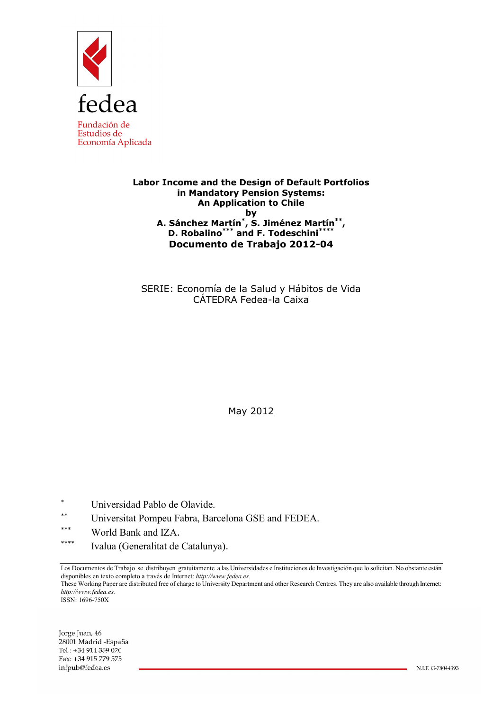

Economía Aplicada

#### Labor Income and the Design of Default Portfolios in Mandatory Pension Systems: An Application to Chile by A. Sánchez Martín<sup>\*</sup>, S. Jiménez Martín<sup>\*\*</sup>, D. Robalino\*\*\* and F. Todeschini\*\*\*\* Documento de Trabajo 2012-04

SERIE: Economía de la Salud y Hábitos de Vida CÁTEDRA Fedea-la Caixa

May 2012

- \* Universidad Pablo de Olavide.
- \*\* Universitat Pompeu Fabra, Barcelona GSE and FEDEA.
- \*\*\* World Bank and IZA.
- \*\*\*\* Ivalua (Generalitat de Catalunya).

Los Documentos de Trabajo se distribuyen gratuitamente a las Universidades e Instituciones de Investigación que lo solicitan. No obstante están disponibles en texto completo a través de Internet: http://www.fedea.es.

These Working Paper are distributed free of charge to University Department and other Research Centres. They are also available through Internet: http://www.fedea.es.

ISSN: 1696-750X

Jorge Juan, 46 28001 Madrid - España Tel.: +34 914 359 020 Fax: +34 915 779 575 infpub@fedea.es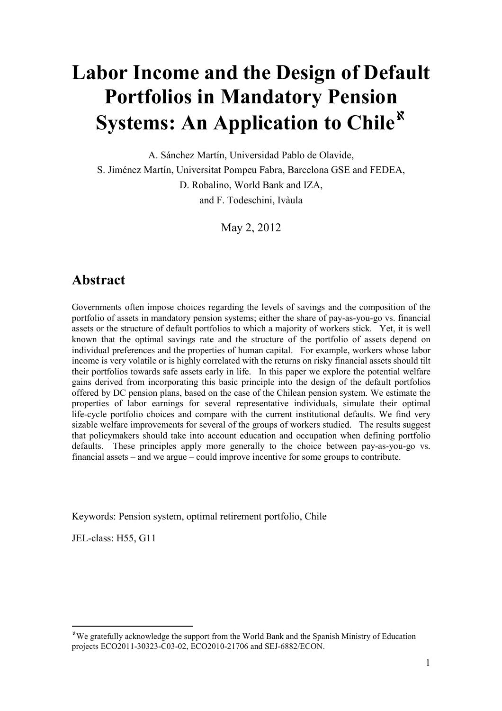# Labor Income and the Design of Default Portfolios in Mandatory Pension Systems: An Application to Chile<sup>x</sup>

A. Sánchez Martín, Universidad Pablo de Olavide,

S. Jiménez Martín, Universitat Pompeu Fabra, Barcelona GSE and FEDEA,

D. Robalino, World Bank and IZA,

and F. Todeschini, Ivàula

May 2, 2012

# Abstract

Governments often impose choices regarding the levels of savings and the composition of the portfolio of assets in mandatory pension systems; either the share of pay-as-you-go vs. financial assets or the structure of default portfolios to which a majority of workers stick. Yet, it is well known that the optimal savings rate and the structure of the portfolio of assets depend on individual preferences and the properties of human capital. For example, workers whose labor income is very volatile or is highly correlated with the returns on risky financial assets should tilt their portfolios towards safe assets early in life. In this paper we explore the potential welfare gains derived from incorporating this basic principle into the design of the default portfolios offered by DC pension plans, based on the case of the Chilean pension system. We estimate the properties of labor earnings for several representative individuals, simulate their optimal life-cycle portfolio choices and compare with the current institutional defaults. We find very sizable welfare improvements for several of the groups of workers studied. The results suggest that policymakers should take into account education and occupation when defining portfolio defaults. These principles apply more generally to the choice between pay-as-you-go vs. financial assets – and we argue – could improve incentive for some groups to contribute.

Keywords: Pension system, optimal retirement portfolio, Chile

JEL-class: H55, G11

<sup>ℵ</sup>We gratefully acknowledge the support from the World Bank and the Spanish Ministry of Education projects ECO2011-30323-C03-02, ECO2010-21706 and SEJ-6882/ECON.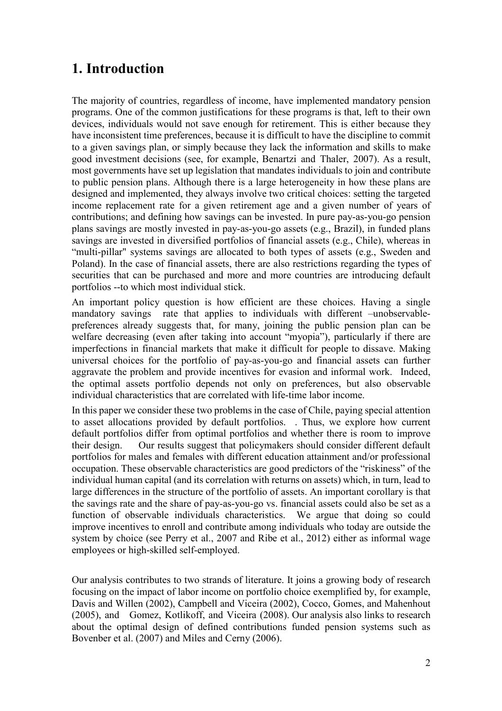# 1. Introduction

The majority of countries, regardless of income, have implemented mandatory pension programs. One of the common justifications for these programs is that, left to their own devices, individuals would not save enough for retirement. This is either because they have inconsistent time preferences, because it is difficult to have the discipline to commit to a given savings plan, or simply because they lack the information and skills to make good investment decisions (see, for example, Benartzi and Thaler, 2007). As a result, most governments have set up legislation that mandates individuals to join and contribute to public pension plans. Although there is a large heterogeneity in how these plans are designed and implemented, they always involve two critical choices: setting the targeted income replacement rate for a given retirement age and a given number of years of contributions; and defining how savings can be invested. In pure pay-as-you-go pension plans savings are mostly invested in pay-as-you-go assets (e.g., Brazil), in funded plans savings are invested in diversified portfolios of financial assets (e.g., Chile), whereas in "multi-pillar" systems savings are allocated to both types of assets (e.g., Sweden and Poland). In the case of financial assets, there are also restrictions regarding the types of securities that can be purchased and more and more countries are introducing default portfolios --to which most individual stick.

An important policy question is how efficient are these choices. Having a single mandatory savings rate that applies to individuals with different –unobservablepreferences already suggests that, for many, joining the public pension plan can be welfare decreasing (even after taking into account "myopia"), particularly if there are imperfections in financial markets that make it difficult for people to dissave. Making universal choices for the portfolio of pay-as-you-go and financial assets can further aggravate the problem and provide incentives for evasion and informal work. Indeed, the optimal assets portfolio depends not only on preferences, but also observable individual characteristics that are correlated with life-time labor income.

In this paper we consider these two problems in the case of Chile, paying special attention to asset allocations provided by default portfolios. . Thus, we explore how current default portfolios differ from optimal portfolios and whether there is room to improve their design. Our results suggest that policymakers should consider different default portfolios for males and females with different education attainment and/or professional occupation. These observable characteristics are good predictors of the "riskiness" of the individual human capital (and its correlation with returns on assets) which, in turn, lead to large differences in the structure of the portfolio of assets. An important corollary is that the savings rate and the share of pay-as-you-go vs. financial assets could also be set as a function of observable individuals characteristics. We argue that doing so could improve incentives to enroll and contribute among individuals who today are outside the system by choice (see Perry et al., 2007 and Ribe et al., 2012) either as informal wage employees or high-skilled self-employed.

Our analysis contributes to two strands of literature. It joins a growing body of research focusing on the impact of labor income on portfolio choice exemplified by, for example, Davis and Willen (2002), Campbell and Viceira (2002), Cocco, Gomes, and Mahenhout (2005), and Gomez, Kotlikoff, and Viceira (2008). Our analysis also links to research about the optimal design of defined contributions funded pension systems such as Bovenber et al. (2007) and Miles and Cerny (2006).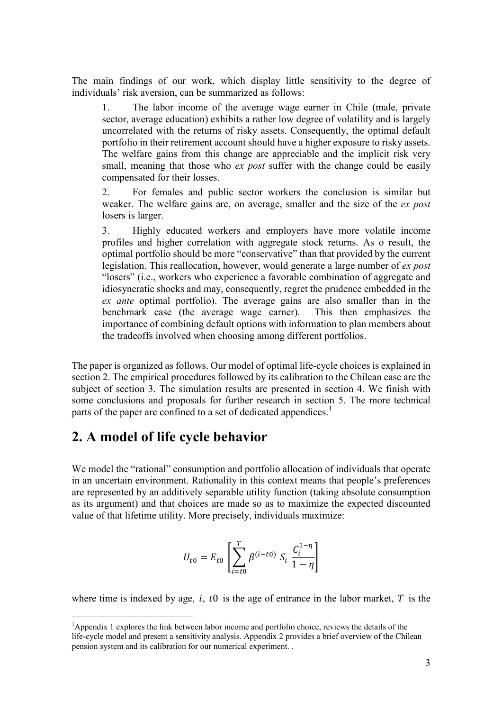The main findings of our work, which display little sensitivity to the degree of individuals' risk aversion, can be summarized as follows:

1. The labor income of the average wage earner in Chile (male, private sector, average education) exhibits a rather low degree of volatility and is largely uncorrelated with the returns of risky assets. Consequently, the optimal default portfolio in their retirement account should have a higher exposure to risky assets. The welfare gains from this change are appreciable and the implicit risk very small, meaning that those who *ex post* suffer with the change could be easily compensated for their losses.

2. For females and public sector workers the conclusion is similar but weaker. The welfare gains are, on average, smaller and the size of the ex post losers is larger.

3. Highly educated workers and employers have more volatile income profiles and higher correlation with aggregate stock returns. As o result, the optimal portfolio should be more "conservative" than that provided by the current legislation. This reallocation, however, would generate a large number of ex post "losers" (i.e., workers who experience a favorable combination of aggregate and idiosyncratic shocks and may, consequently, regret the prudence embedded in the ex ante optimal portfolio). The average gains are also smaller than in the benchmark case (the average wage earner). This then emphasizes the importance of combining default options with information to plan members about the tradeoffs involved when choosing among different portfolios.

The paper is organized as follows. Our model of optimal life-cycle choices is explained in section 2. The empirical procedures followed by its calibration to the Chilean case are the subject of section 3. The simulation results are presented in section 4. We finish with some conclusions and proposals for further research in section 5. The more technical parts of the paper are confined to a set of dedicated appendices.<sup>1</sup>

# 2. A model of life cycle behavior

 $\overline{a}$ 

We model the "rational" consumption and portfolio allocation of individuals that operate in an uncertain environment. Rationality in this context means that people's preferences are represented by an additively separable utility function (taking absolute consumption as its argument) and that choices are made so as to maximize the expected discounted value of that lifetime utility. More precisely, individuals maximize:

$$
U_{t0} = E_{t0} \left[ \sum_{i=t0}^{T} \beta^{(i-t0)} S_i \frac{C_i^{1-\eta}}{1-\eta} \right]
$$

where time is indexed by age,  $i$ ,  $t0$  is the age of entrance in the labor market,  $T$  is the

 $1$ Appendix 1 explores the link between labor income and portfolio choice, reviews the details of the life-cycle model and present a sensitivity analysis. Appendix 2 provides a brief overview of the Chilean pension system and its calibration for our numerical experiment. .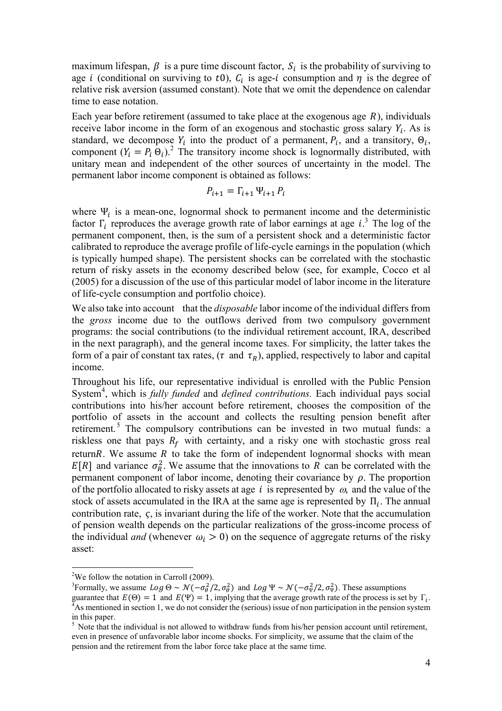maximum lifespan,  $\beta$  is a pure time discount factor,  $S_i$  is the probability of surviving to age *i* (conditional on surviving to  $t0$ ),  $C_i$  is age-*i* consumption and  $\eta$  is the degree of relative risk aversion (assumed constant). Note that we omit the dependence on calendar time to ease notation.

Each year before retirement (assumed to take place at the exogenous age  $R$ ), individuals receive labor income in the form of an exogenous and stochastic gross salary  $Y_i$ . As is standard, we decompose  $Y_i$  into the product of a permanent,  $P_i$ , and a transitory,  $\Theta_i$ , component  $(Y_i = P_i \Theta_i)^2$ . The transitory income shock is lognormally distributed, with unitary mean and independent of the other sources of uncertainty in the model. The permanent labor income component is obtained as follows:

$$
P_{i+1} = \Gamma_{i+1} \Psi_{i+1} P_i
$$

where  $\Psi_i$  is a mean-one, lognormal shock to permanent income and the deterministic factor  $\Gamma_i$  reproduces the average growth rate of labor earnings at age  $i^3$ . The log of the permanent component, then, is the sum of a persistent shock and a deterministic factor calibrated to reproduce the average profile of life-cycle earnings in the population (which is typically humped shape). The persistent shocks can be correlated with the stochastic return of risky assets in the economy described below (see, for example, Cocco et al (2005) for a discussion of the use of this particular model of labor income in the literature of life-cycle consumption and portfolio choice).

We also take into account that the *disposable* labor income of the individual differs from the gross income due to the outflows derived from two compulsory government programs: the social contributions (to the individual retirement account, IRA, described in the next paragraph), and the general income taxes. For simplicity, the latter takes the form of a pair of constant tax rates, ( $\tau$  and  $\tau_R$ ), applied, respectively to labor and capital income.

Throughout his life, our representative individual is enrolled with the Public Pension System<sup>4</sup>, which is *fully funded* and *defined contributions*. Each individual pays social contributions into his/her account before retirement, chooses the composition of the portfolio of assets in the account and collects the resulting pension benefit after retirement.<sup>5</sup> The compulsory contributions can be invested in two mutual funds: a riskless one that pays  $R_f$  with certainty, and a risky one with stochastic gross real return $R$ . We assume  $R$  to take the form of independent lognormal shocks with mean  $E[R]$  and variance  $\sigma_R^2$ . We assume that the innovations to R can be correlated with the permanent component of labor income, denoting their covariance by  $\rho$ . The proportion of the portfolio allocated to risky assets at age *i* is represented by  $\omega$ , and the value of the stock of assets accumulated in the IRA at the same age is represented by  $\Pi_i$ . The annual contribution rate,  $\zeta$ , is invariant during the life of the worker. Note that the accumulation of pension wealth depends on the particular realizations of the gross-income process of the individual *and* (whenever  $\omega_i > 0$ ) on the sequence of aggregate returns of the risky asset:

<sup>&</sup>lt;sup>2</sup>We follow the notation in Carroll (2009).

<sup>&</sup>lt;sup>3</sup>Formally, we assume  $Log \Theta \sim \mathcal{N}(-\sigma_{\theta}^2/2, \sigma_{\theta}^2)$  and  $Log \Psi \sim \mathcal{N}(-\sigma_{\Psi}^2/2, \sigma_{\Psi}^2)$ . These assumptions guarantee that  $E(\Theta) = 1$  and  $E(\Psi) = 1$ , implying that the average growth rate of the process is set by  $\Gamma_i$ . <sup>4</sup>As mentioned in section 1, we do not consider the (serious) issue of non participation in the pension system in this paper.

<sup>&</sup>lt;sup>5</sup> Note that the individual is not allowed to withdraw funds from his/her pension account until retirement, even in presence of unfavorable labor income shocks. For simplicity, we assume that the claim of the pension and the retirement from the labor force take place at the same time.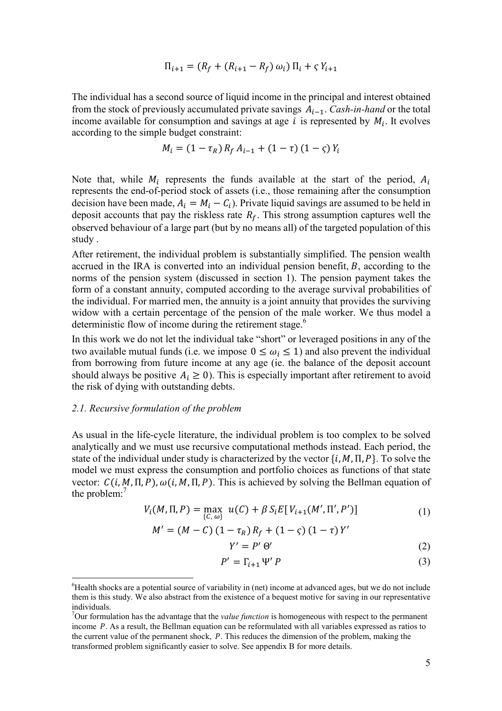$$
\Pi_{i+1} = (R_f + (R_{i+1} - R_f) \omega_i) \Pi_i + \varsigma Y_{i+1}
$$

The individual has a second source of liquid income in the principal and interest obtained from the stock of previously accumulated private savings  $A_{i-1}$ . Cash-in-hand or the total income available for consumption and savings at age  $i$  is represented by  $M_i$ . It evolves according to the simple budget constraint:

$$
M_i = (1 - \tau_R) R_f A_{i-1} + (1 - \tau) (1 - \zeta) Y_i
$$

Note that, while  $M_i$  represents the funds available at the start of the period,  $A_i$ represents the end-of-period stock of assets (i.e., those remaining after the consumption decision have been made,  $A_i = M_i - C_i$ ). Private liquid savings are assumed to be held in deposit accounts that pay the riskless rate  $R_f$ . This strong assumption captures well the observed behaviour of a large part (but by no means all) of the targeted population of this study .

After retirement, the individual problem is substantially simplified. The pension wealth accrued in the IRA is converted into an individual pension benefit,  $B$ , according to the norms of the pension system (discussed in section 1). The pension payment takes the form of a constant annuity, computed according to the average survival probabilities of the individual. For married men, the annuity is a joint annuity that provides the surviving widow with a certain percentage of the pension of the male worker. We thus model a deterministic flow of income during the retirement stage.<sup>6</sup>

In this work we do not let the individual take "short" or leveraged positions in any of the two available mutual funds (i.e. we impose  $0 \leq \omega_i \leq 1$ ) and also prevent the individual from borrowing from future income at any age (ie. the balance of the deposit account should always be positive  $A_i \geq 0$ . This is especially important after retirement to avoid the risk of dying with outstanding debts.

#### 2.1. Recursive formulation of the problem

 $\overline{a}$ 

As usual in the life-cycle literature, the individual problem is too complex to be solved analytically and we must use recursive computational methods instead. Each period, the state of the individual under study is characterized by the vector  $\{i, M, \Pi, P\}$ . To solve the model we must express the consumption and portfolio choices as functions of that state vector:  $C(i, M, \Pi, P)$ ,  $\omega(i, M, \Pi, P)$ . This is achieved by solving the Bellman equation of the problem: $<sup>7</sup>$ </sup>

$$
V_i(M, \Pi, P) = \max_{\{C, \omega\}} u(C) + \beta S_i E[V_{i+1}(M', \Pi', P')]
$$
(1)

$$
M' = (M - C) (1 - \tau_R) R_f + (1 - \zeta) (1 - \tau) Y'
$$

$$
Y' = P' \Theta'
$$
 (2)

$$
P' = \Gamma_{i+1} \Psi' P \tag{3}
$$

<sup>6</sup>Health shocks are a potential source of variability in (net) income at advanced ages, but we do not include them is this study. We also abstract from the existence of a bequest motive for saving in our representative individuals.

<sup>&</sup>lt;sup>7</sup>Our formulation has the advantage that the *value function* is homogeneous with respect to the permanent income  $P$ . As a result, the Bellman equation can be reformulated with all variables expressed as ratios to the current value of the permanent shock,  $P$ . This reduces the dimension of the problem, making the transformed problem significantly easier to solve. See appendix B for more details.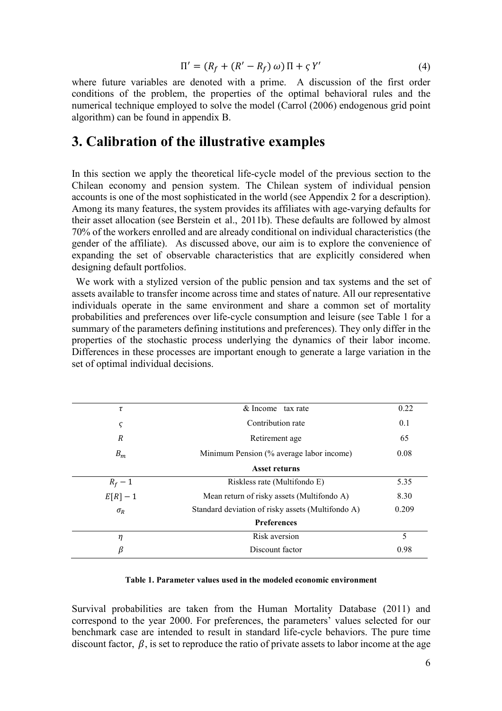$$
\Pi' = (R_f + (R' - R_f) \omega) \Pi + \zeta Y'
$$
\n(4)

where future variables are denoted with a prime. A discussion of the first order conditions of the problem, the properties of the optimal behavioral rules and the numerical technique employed to solve the model (Carrol (2006) endogenous grid point algorithm) can be found in appendix B.

# 3. Calibration of the illustrative examples

In this section we apply the theoretical life-cycle model of the previous section to the Chilean economy and pension system. The Chilean system of individual pension accounts is one of the most sophisticated in the world (see Appendix 2 for a description). Among its many features, the system provides its affiliates with age-varying defaults for their asset allocation (see Berstein et al., 2011b). These defaults are followed by almost 70% of the workers enrolled and are already conditional on individual characteristics (the gender of the affiliate). As discussed above, our aim is to explore the convenience of expanding the set of observable characteristics that are explicitly considered when designing default portfolios.

 We work with a stylized version of the public pension and tax systems and the set of assets available to transfer income across time and states of nature. All our representative individuals operate in the same environment and share a common set of mortality probabilities and preferences over life-cycle consumption and leisure (see Table 1 for a summary of the parameters defining institutions and preferences). They only differ in the properties of the stochastic process underlying the dynamics of their labor income. Differences in these processes are important enough to generate a large variation in the set of optimal individual decisions.

| τ          | & Income tax rate                                 | 0.22  |
|------------|---------------------------------------------------|-------|
| ς          | Contribution rate                                 | 0.1   |
| R          | Retirement age                                    | 65    |
| $B_m$      | Minimum Pension (% average labor income)          | 0.08  |
|            | <b>Asset returns</b>                              |       |
| $R_f-1$    | Riskless rate (Multifondo E)                      | 5.35  |
| $E[R]-1$   | Mean return of risky assets (Multifondo A)        | 8.30  |
| $\sigma_R$ | Standard deviation of risky assets (Multifondo A) | 0.209 |
|            | <b>Preferences</b>                                |       |
| η          | Risk aversion                                     | 5     |
| β          | Discount factor                                   | 0.98  |
|            |                                                   |       |

#### Table 1. Parameter values used in the modeled economic environment

Survival probabilities are taken from the Human Mortality Database (2011) and correspond to the year 2000. For preferences, the parameters' values selected for our benchmark case are intended to result in standard life-cycle behaviors. The pure time discount factor,  $\beta$ , is set to reproduce the ratio of private assets to labor income at the age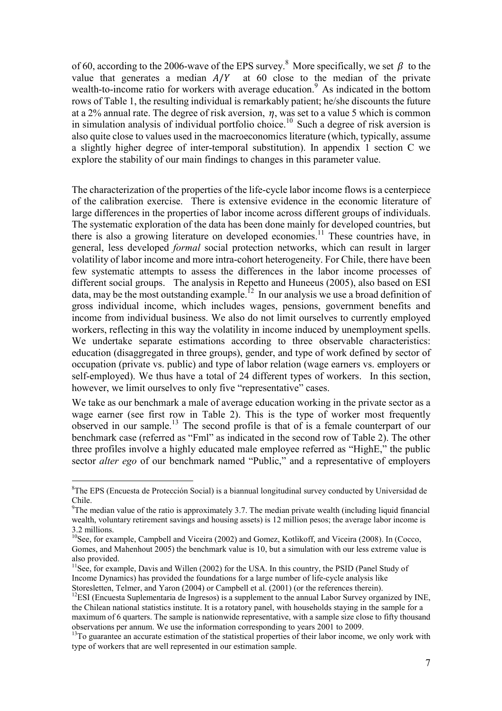of 60, according to the 2006-wave of the EPS survey.<sup>8</sup> More specifically, we set  $\beta$  to the value that generates a median  $A/Y$  at 60 close to the median of the private wealth-to-income ratio for workers with average education.<sup>9</sup> As indicated in the bottom rows of Table 1, the resulting individual is remarkably patient; he/she discounts the future at a 2% annual rate. The degree of risk aversion,  $\eta$ , was set to a value 5 which is common in simulation analysis of individual portfolio choice.<sup>10</sup> Such a degree of risk aversion is also quite close to values used in the macroeconomics literature (which, typically, assume a slightly higher degree of inter-temporal substitution). In appendix 1 section C we explore the stability of our main findings to changes in this parameter value.

The characterization of the properties of the life-cycle labor income flows is a centerpiece of the calibration exercise. There is extensive evidence in the economic literature of large differences in the properties of labor income across different groups of individuals. The systematic exploration of the data has been done mainly for developed countries, but there is also a growing literature on developed economies.<sup>11</sup> These countries have, in general, less developed formal social protection networks, which can result in larger volatility of labor income and more intra-cohort heterogeneity. For Chile, there have been few systematic attempts to assess the differences in the labor income processes of different social groups. The analysis in Repetto and Huneeus (2005), also based on ESI data, may be the most outstanding example.<sup>12</sup> In our analysis we use a broad definition of gross individual income, which includes wages, pensions, government benefits and income from individual business. We also do not limit ourselves to currently employed workers, reflecting in this way the volatility in income induced by unemployment spells. We undertake separate estimations according to three observable characteristics: education (disaggregated in three groups), gender, and type of work defined by sector of occupation (private vs. public) and type of labor relation (wage earners vs. employers or self-employed). We thus have a total of 24 different types of workers. In this section, however, we limit ourselves to only five "representative" cases.

We take as our benchmark a male of average education working in the private sector as a wage earner (see first row in Table 2). This is the type of worker most frequently observed in our sample.<sup>13</sup> The second profile is that of is a female counterpart of our benchmark case (referred as "Fml" as indicated in the second row of Table 2). The other three profiles involve a highly educated male employee referred as "HighE," the public sector *alter ego* of our benchmark named "Public," and a representative of employers

<sup>&</sup>lt;sup>8</sup>The EPS (Encuesta de Protección Social) is a biannual longitudinal survey conducted by Universidad de Chile.

 $\rm{^{9}The}$  median value of the ratio is approximately 3.7. The median private wealth (including liquid financial wealth, voluntary retirement savings and housing assets) is 12 million pesos; the average labor income is 3.2 millions.

<sup>&</sup>lt;sup>10</sup>See, for example, Campbell and Viceira (2002) and Gomez, Kotlikoff, and Viceira (2008). In (Cocco, Gomes, and Mahenhout 2005) the benchmark value is 10, but a simulation with our less extreme value is also provided.

<sup>&</sup>lt;sup>11</sup>See, for example, Davis and Willen (2002) for the USA. In this country, the PSID (Panel Study of Income Dynamics) has provided the foundations for a large number of life-cycle analysis like Storesletten, Telmer, and Yaron (2004) or Campbell et al. (2001) (or the references therein).

<sup>&</sup>lt;sup>12</sup>ESI (Encuesta Suplementaria de Ingresos) is a supplement to the annual Labor Survey organized by INE,

the Chilean national statistics institute. It is a rotatory panel, with households staying in the sample for a maximum of 6 quarters. The sample is nationwide representative, with a sample size close to fifty thousand observations per annum. We use the information corresponding to years 2001 to 2009.

<sup>&</sup>lt;sup>13</sup>To guarantee an accurate estimation of the statistical properties of their labor income, we only work with type of workers that are well represented in our estimation sample.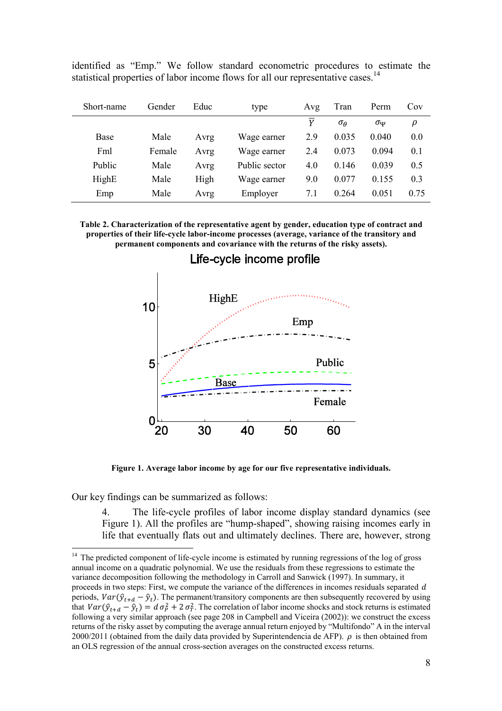identified as "Emp." We follow standard econometric procedures to estimate the statistical properties of labor income flows for all our representative cases.<sup>14</sup>

| Short-name | Gender | Educ | type          | Avg | Tran              | Perm            | Cov    |
|------------|--------|------|---------------|-----|-------------------|-----------------|--------|
|            |        |      |               | Y   | $\sigma_{\theta}$ | $\sigma_{\Psi}$ | $\rho$ |
| Base       | Male   | Avrg | Wage earner   | 2.9 | 0.035             | 0.040           | 0.0    |
| Fml        | Female | Avrg | Wage earner   | 2.4 | 0.073             | 0 0 9 4         | 0.1    |
| Public     | Male   | Avrg | Public sector | 4.0 | 0146              | 0.039           | 0.5    |
| HighE      | Male   | High | Wage earner   | 9.0 | 0.077             | 0.155           | 0.3    |
| Emp        | Male   | Avrg | Employer      | 7.1 | 0.264             | 0.051           | 0.75   |

Table 2. Characterization of the representative agent by gender, education type of contract and properties of their life-cycle labor-income processes (average, variance of the transitory and permanent components and covariance with the returns of the risky assets).



Figure 1. Average labor income by age for our five representative individuals.

Our key findings can be summarized as follows:

4. The life-cycle profiles of labor income display standard dynamics (see Figure 1). All the profiles are "hump-shaped", showing raising incomes early in life that eventually flats out and ultimately declines. There are, however, strong

 $14\,$ The predicted component of life-cycle income is estimated by running regressions of the log of gross annual income on a quadratic polynomial. We use the residuals from these regressions to estimate the variance decomposition following the methodology in Carroll and Sanwick (1997). In summary, it proceeds in two steps: First, we compute the variance of the differences in incomes residuals separated  $d$ periods,  $Var(\hat{y}_{t+d} - \hat{y}_t)$ . The permanent/transitory components are then subsequently recovered by using that  $Var(\hat{y}_{t+d} - \hat{y}_t) = d\sigma_P^2 + 2\sigma_T^2$ . The correlation of labor income shocks and stock returns is estimated following a very similar approach (see page 208 in Campbell and Viceira (2002)): we construct the excess returns of the risky asset by computing the average annual return enjoyed by "Multifondo" A in the interval 2000/2011 (obtained from the daily data provided by Superintendencia de AFP).  $\rho$  is then obtained from an OLS regression of the annual cross-section averages on the constructed excess returns.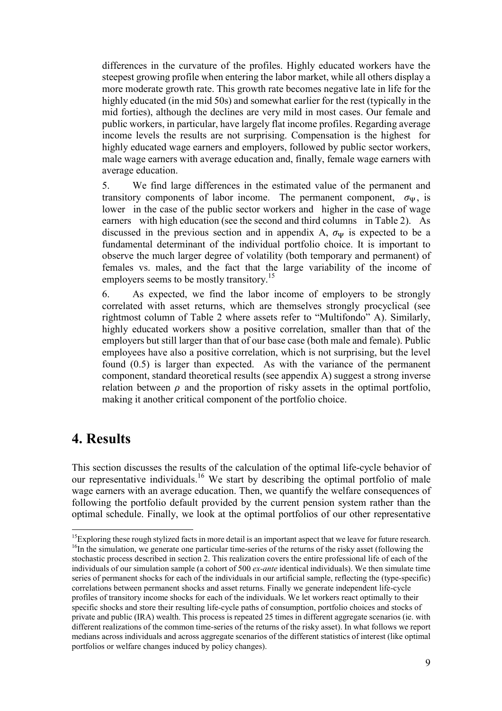differences in the curvature of the profiles. Highly educated workers have the steepest growing profile when entering the labor market, while all others display a more moderate growth rate. This growth rate becomes negative late in life for the highly educated (in the mid 50s) and somewhat earlier for the rest (typically in the mid forties), although the declines are very mild in most cases. Our female and public workers, in particular, have largely flat income profiles. Regarding average income levels the results are not surprising. Compensation is the highest for highly educated wage earners and employers, followed by public sector workers, male wage earners with average education and, finally, female wage earners with average education.

5. We find large differences in the estimated value of the permanent and transitory components of labor income. The permanent component,  $\sigma_{\Psi}$ , is lower in the case of the public sector workers and higher in the case of wage earners with high education (see the second and third columns in Table 2). As discussed in the previous section and in appendix A,  $\sigma_{\Psi}$  is expected to be a fundamental determinant of the individual portfolio choice. It is important to observe the much larger degree of volatility (both temporary and permanent) of females vs. males, and the fact that the large variability of the income of employers seems to be mostly transitory.<sup>15</sup>

6. As expected, we find the labor income of employers to be strongly correlated with asset returns, which are themselves strongly procyclical (see rightmost column of Table 2 where assets refer to "Multifondo" A). Similarly, highly educated workers show a positive correlation, smaller than that of the employers but still larger than that of our base case (both male and female). Public employees have also a positive correlation, which is not surprising, but the level found (0.5) is larger than expected. As with the variance of the permanent component, standard theoretical results (see appendix A) suggest a strong inverse relation between  $\rho$  and the proportion of risky assets in the optimal portfolio, making it another critical component of the portfolio choice.

# 4. Results

This section discusses the results of the calculation of the optimal life-cycle behavior of our representative individuals.<sup>16</sup> We start by describing the optimal portfolio of male wage earners with an average education. Then, we quantify the welfare consequences of following the portfolio default provided by the current pension system rather than the optimal schedule. Finally, we look at the optimal portfolios of our other representative

 $\overline{a}$  $<sup>15</sup>$ Exploring these rough stylized facts in more detail is an important aspect that we leave for future research.</sup> <sup>16</sup>In the simulation, we generate one particular time-series of the returns of the risky asset (following the stochastic process described in section 2. This realization covers the entire professional life of each of the individuals of our simulation sample (a cohort of 500 ex-ante identical individuals). We then simulate time series of permanent shocks for each of the individuals in our artificial sample, reflecting the (type-specific) correlations between permanent shocks and asset returns. Finally we generate independent life-cycle profiles of transitory income shocks for each of the individuals. We let workers react optimally to their specific shocks and store their resulting life-cycle paths of consumption, portfolio choices and stocks of private and public (IRA) wealth. This process is repeated 25 times in different aggregate scenarios (ie. with different realizations of the common time-series of the returns of the risky asset). In what follows we report medians across individuals and across aggregate scenarios of the different statistics of interest (like optimal portfolios or welfare changes induced by policy changes).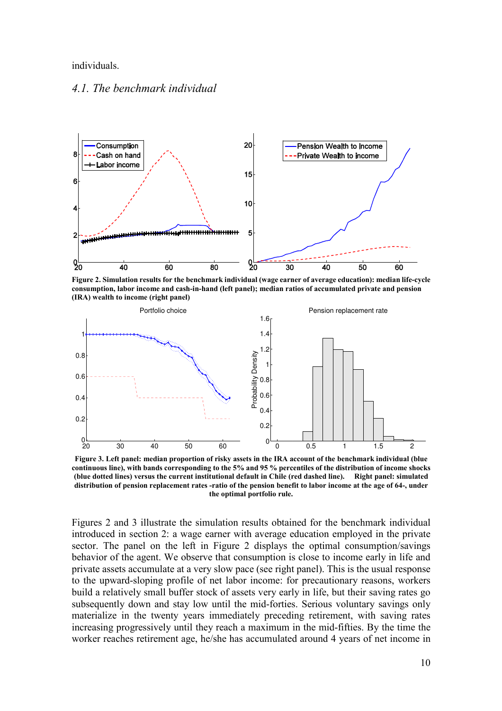individuals.

# 4.1. The benchmark individual



Figure 2. Simulation results for the benchmark individual (wage earner of average education): median life-cycle consumption, labor income and cash-in-hand (left panel); median ratios of accumulated private and pension (IRA) wealth to income (right panel)



Figure 3. Left panel: median proportion of risky assets in the IRA account of the benchmark individual (blue continuous line), with bands corresponding to the 5% and 95 % percentiles of the distribution of income shocks (blue dotted lines) versus the current institutional default in Chile (red dashed line). Right panel: simulated distribution of pension replacement rates -ratio of the pension benefit to labor income at the age of 64-, under the optimal portfolio rule.

Figures 2 and 3 illustrate the simulation results obtained for the benchmark individual introduced in section 2: a wage earner with average education employed in the private sector. The panel on the left in Figure 2 displays the optimal consumption/savings behavior of the agent. We observe that consumption is close to income early in life and private assets accumulate at a very slow pace (see right panel). This is the usual response to the upward-sloping profile of net labor income: for precautionary reasons, workers build a relatively small buffer stock of assets very early in life, but their saving rates go subsequently down and stay low until the mid-forties. Serious voluntary savings only materialize in the twenty years immediately preceding retirement, with saving rates increasing progressively until they reach a maximum in the mid-fifties. By the time the worker reaches retirement age, he/she has accumulated around 4 years of net income in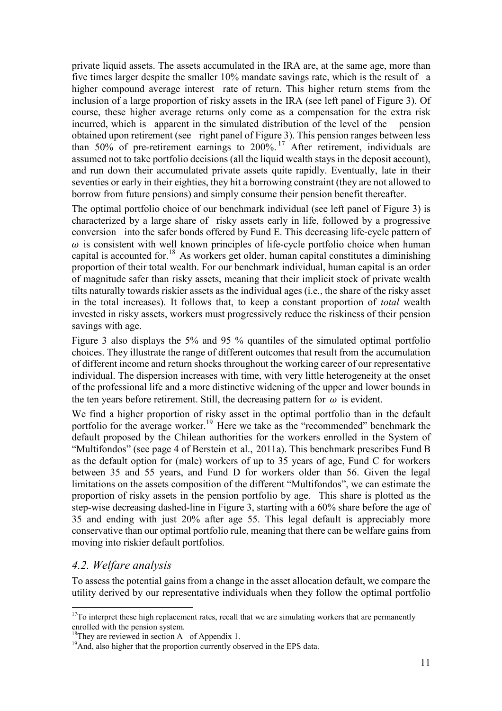private liquid assets. The assets accumulated in the IRA are, at the same age, more than five times larger despite the smaller 10% mandate savings rate, which is the result of a higher compound average interest rate of return. This higher return stems from the inclusion of a large proportion of risky assets in the IRA (see left panel of Figure 3). Of course, these higher average returns only come as a compensation for the extra risk incurred, which is apparent in the simulated distribution of the level of the pension obtained upon retirement (see right panel of Figure 3). This pension ranges between less than  $50\%$  of pre-retirement earnings to  $200\%$ .<sup>17</sup> After retirement, individuals are assumed not to take portfolio decisions (all the liquid wealth stays in the deposit account), and run down their accumulated private assets quite rapidly. Eventually, late in their seventies or early in their eighties, they hit a borrowing constraint (they are not allowed to borrow from future pensions) and simply consume their pension benefit thereafter.

The optimal portfolio choice of our benchmark individual (see left panel of Figure 3) is characterized by a large share of risky assets early in life, followed by a progressive conversion into the safer bonds offered by Fund E. This decreasing life-cycle pattern of  $\omega$  is consistent with well known principles of life-cycle portfolio choice when human capital is accounted for.<sup>18</sup> As workers get older, human capital constitutes a diminishing proportion of their total wealth. For our benchmark individual, human capital is an order of magnitude safer than risky assets, meaning that their implicit stock of private wealth tilts naturally towards riskier assets as the individual ages (i.e., the share of the risky asset in the total increases). It follows that, to keep a constant proportion of total wealth invested in risky assets, workers must progressively reduce the riskiness of their pension savings with age.

Figure 3 also displays the 5% and 95 % quantiles of the simulated optimal portfolio choices. They illustrate the range of different outcomes that result from the accumulation of different income and return shocks throughout the working career of our representative individual. The dispersion increases with time, with very little heterogeneity at the onset of the professional life and a more distinctive widening of the upper and lower bounds in the ten years before retirement. Still, the decreasing pattern for  $\omega$  is evident.

We find a higher proportion of risky asset in the optimal portfolio than in the default portfolio for the average worker.<sup>19</sup> Here we take as the "recommended" benchmark the default proposed by the Chilean authorities for the workers enrolled in the System of "Multifondos" (see page 4 of Berstein et al., 2011a). This benchmark prescribes Fund B as the default option for (male) workers of up to 35 years of age, Fund C for workers between 35 and 55 years, and Fund D for workers older than 56. Given the legal limitations on the assets composition of the different "Multifondos", we can estimate the proportion of risky assets in the pension portfolio by age. This share is plotted as the step-wise decreasing dashed-line in Figure 3, starting with a 60% share before the age of 35 and ending with just 20% after age 55. This legal default is appreciably more conservative than our optimal portfolio rule, meaning that there can be welfare gains from moving into riskier default portfolios.

# 4.2. Welfare analysis

To assess the potential gains from a change in the asset allocation default, we compare the utility derived by our representative individuals when they follow the optimal portfolio

 $\overline{a}$  $17$ To interpret these high replacement rates, recall that we are simulating workers that are permanently enrolled with the pension system.

<sup>&</sup>lt;sup>18</sup>They are reviewed in section A of Appendix 1.

<sup>&</sup>lt;sup>19</sup>And, also higher that the proportion currently observed in the EPS data.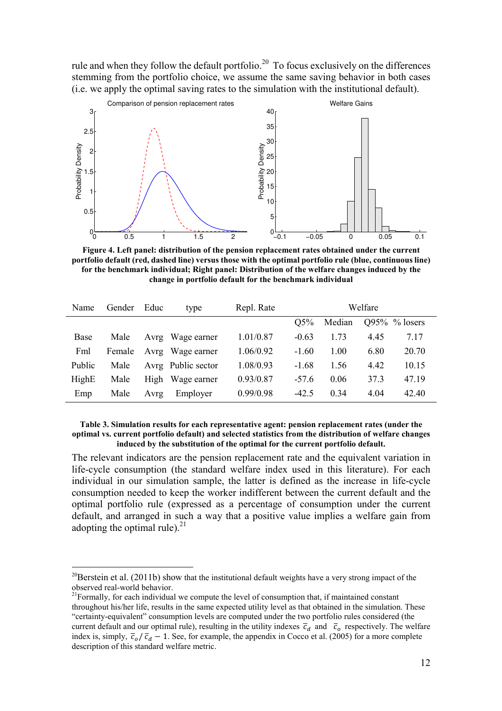rule and when they follow the default portfolio.<sup>20</sup> To focus exclusively on the differences stemming from the portfolio choice, we assume the same saving behavior in both cases (i.e. we apply the optimal saving rates to the simulation with the institutional default).



Figure 4. Left panel: distribution of the pension replacement rates obtained under the current portfolio default (red, dashed line) versus those with the optimal portfolio rule (blue, continuous line) for the benchmark individual; Right panel: Distribution of the welfare changes induced by the change in portfolio default for the benchmark individual

| Name   | Gender | Educ | type               | Repl. Rate |         |        | Welfare |                  |
|--------|--------|------|--------------------|------------|---------|--------|---------|------------------|
|        |        |      |                    |            | O5%     | Median |         | $Q95\%$ % losers |
| Base   | Male   | Avrg | Wage earner        | 1.01/0.87  | $-0.63$ | 1 73   | 4.45    | 7.17             |
| Fml    | Female |      | Avrg Wage earner   | 1.06/0.92  | $-1.60$ | 1.00   | 6.80    | 20.70            |
| Public | Male   |      | Avrg Public sector | 1.08/0.93  | $-1.68$ | 1.56   | 4.42    | 10.15            |
| HighE  | Male   | High | Wage earner        | 0.93/0.87  | $-57.6$ | 0.06   | 37.3    | 47.19            |
| Emp    | Male   | Avrg | Employer           | 0.99/0.98  | $-42.5$ | 0.34   | 4.04    | 42.40            |

#### Table 3. Simulation results for each representative agent: pension replacement rates (under the optimal vs. current portfolio default) and selected statistics from the distribution of welfare changes induced by the substitution of the optimal for the current portfolio default.

The relevant indicators are the pension replacement rate and the equivalent variation in life-cycle consumption (the standard welfare index used in this literature). For each individual in our simulation sample, the latter is defined as the increase in life-cycle consumption needed to keep the worker indifferent between the current default and the optimal portfolio rule (expressed as a percentage of consumption under the current default, and arranged in such a way that a positive value implies a welfare gain from adopting the optimal rule). $^{21}$ 

 $20B$ erstein et al. (2011b) show that the institutional default weights have a very strong impact of the observed real-world behavior.

 $21$ Formally, for each individual we compute the level of consumption that, if maintained constant throughout his/her life, results in the same expected utility level as that obtained in the simulation. These "certainty-equivalent" consumption levels are computed under the two portfolio rules considered (the current default and our optimal rule), resulting in the utility indexes  $\overline{c}_d$  and  $\overline{c}_o$  respectively. The welfare index is, simply,  $\overline{c}_0/\overline{c}_d - 1$ . See, for example, the appendix in Cocco et al. (2005) for a more complete description of this standard welfare metric.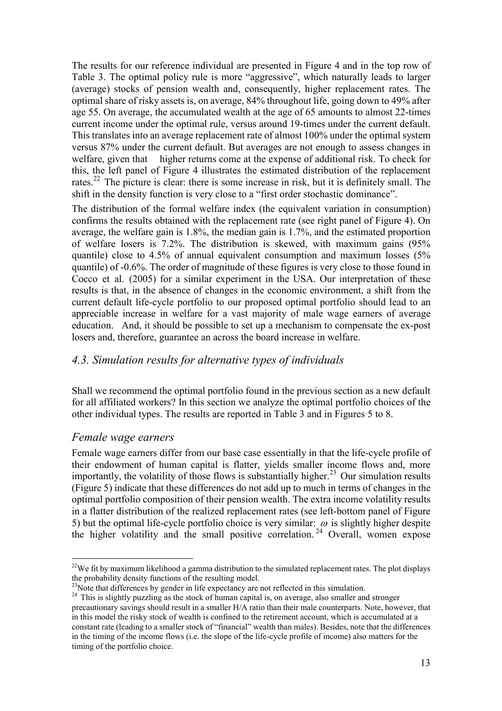The results for our reference individual are presented in Figure 4 and in the top row of Table 3. The optimal policy rule is more "aggressive", which naturally leads to larger (average) stocks of pension wealth and, consequently, higher replacement rates. The optimal share of risky assets is, on average, 84% throughout life, going down to 49% after age 55. On average, the accumulated wealth at the age of 65 amounts to almost 22-times current income under the optimal rule, versus around 19-times under the current default. This translates into an average replacement rate of almost 100% under the optimal system versus 87% under the current default. But averages are not enough to assess changes in welfare, given that higher returns come at the expense of additional risk. To check for this, the left panel of Figure 4 illustrates the estimated distribution of the replacement rates.<sup>22</sup> The picture is clear: there is some increase in risk, but it is definitely small. The shift in the density function is very close to a "first order stochastic dominance".

The distribution of the formal welfare index (the equivalent variation in consumption) confirms the results obtained with the replacement rate (see right panel of Figure 4). On average, the welfare gain is 1.8%, the median gain is 1.7%, and the estimated proportion of welfare losers is 7.2%. The distribution is skewed, with maximum gains (95% quantile) close to 4.5% of annual equivalent consumption and maximum losses  $(5\%$ quantile) of -0.6%. The order of magnitude of these figures is very close to those found in Cocco et al. (2005) for a similar experiment in the USA. Our interpretation of these results is that, in the absence of changes in the economic environment, a shift from the current default life-cycle portfolio to our proposed optimal portfolio should lead to an appreciable increase in welfare for a vast majority of male wage earners of average education. And, it should be possible to set up a mechanism to compensate the ex-post losers and, therefore, guarantee an across the board increase in welfare.

# 4.3. Simulation results for alternative types of individuals

Shall we recommend the optimal portfolio found in the previous section as a new default for all affiliated workers? In this section we analyze the optimal portfolio choices of the other individual types. The results are reported in Table 3 and in Figures 5 to 8.

# Female wage earners

Female wage earners differ from our base case essentially in that the life-cycle profile of their endowment of human capital is flatter, yields smaller income flows and, more importantly, the volatility of those flows is substantially higher.<sup>23</sup> Our simulation results (Figure 5) indicate that these differences do not add up to much in terms of changes in the optimal portfolio composition of their pension wealth. The extra income volatility results in a flatter distribution of the realized replacement rates (see left-bottom panel of Figure 5) but the optimal life-cycle portfolio choice is very similar:  $\omega$  is slightly higher despite the higher volatility and the small positive correlation.<sup>24</sup> Overall, women expose

 $\overline{a}$  $22$ We fit by maximum likelihood a gamma distribution to the simulated replacement rates. The plot displays the probability density functions of the resulting model.

<sup>&</sup>lt;sup>23</sup>Note that differences by gender in life expectancy are not reflected in this simulation.

<sup>&</sup>lt;sup>24</sup> This is slightly puzzling as the stock of human capital is, on average, also smaller and stronger precautionary savings should result in a smaller H/A ratio than their male counterparts. Note, however, that in this model the risky stock of wealth is confined to the retirement account, which is accumulated at a constant rate (leading to a smaller stock of "financial" wealth than males). Besides, note that the differences in the timing of the income flows (i.e. the slope of the life-cycle profile of income) also matters for the timing of the portfolio choice.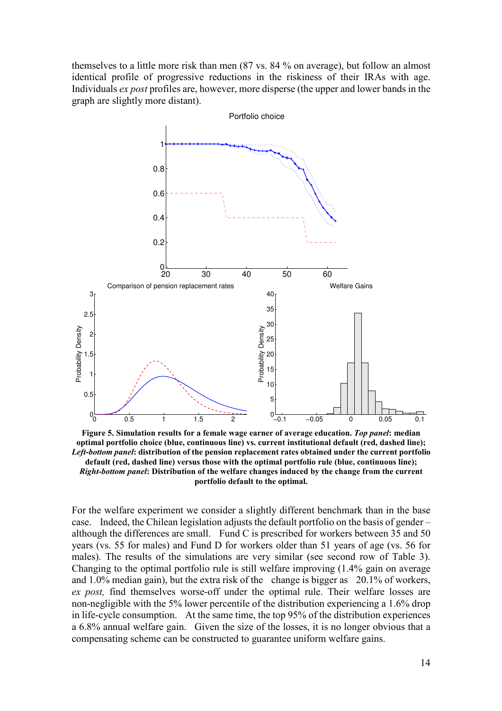themselves to a little more risk than men (87 vs. 84 % on average), but follow an almost identical profile of progressive reductions in the riskiness of their IRAs with age. Individuals ex post profiles are, however, more disperse (the upper and lower bands in the graph are slightly more distant).



Figure 5. Simulation results for a female wage earner of average education. Top panel: median optimal portfolio choice (blue, continuous line) vs. current institutional default (red, dashed line); Left-bottom panel: distribution of the pension replacement rates obtained under the current portfolio default (red, dashed line) versus those with the optimal portfolio rule (blue, continuous line); Right-bottom panel: Distribution of the welfare changes induced by the change from the current portfolio default to the optimal.

For the welfare experiment we consider a slightly different benchmark than in the base case. Indeed, the Chilean legislation adjusts the default portfolio on the basis of gender – although the differences are small. Fund C is prescribed for workers between 35 and 50 years (vs. 55 for males) and Fund D for workers older than 51 years of age (vs. 56 for males). The results of the simulations are very similar (see second row of Table 3). Changing to the optimal portfolio rule is still welfare improving (1.4% gain on average and 1.0% median gain), but the extra risk of the change is bigger as 20.1% of workers, ex post, find themselves worse-off under the optimal rule. Their welfare losses are non-negligible with the 5% lower percentile of the distribution experiencing a 1.6% drop in life-cycle consumption. At the same time, the top 95% of the distribution experiences a 6.8% annual welfare gain. Given the size of the losses, it is no longer obvious that a compensating scheme can be constructed to guarantee uniform welfare gains.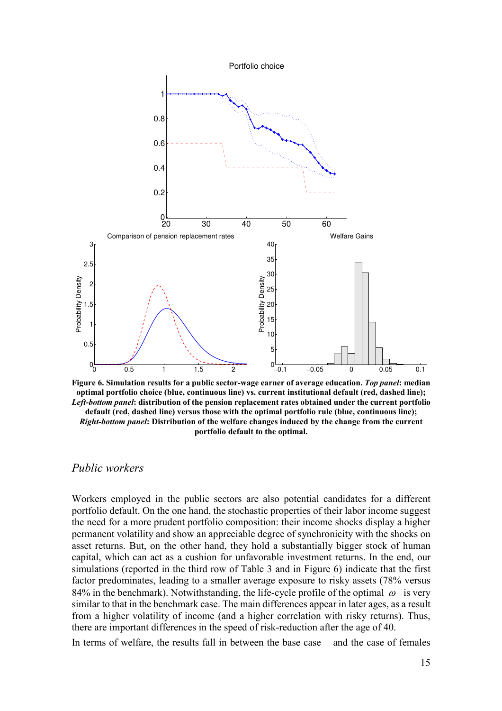

Figure 6. Simulation results for a public sector-wage earner of average education. Top panel: median optimal portfolio choice (blue, continuous line) vs. current institutional default (red, dashed line); Left-bottom panel: distribution of the pension replacement rates obtained under the current portfolio default (red, dashed line) versus those with the optimal portfolio rule (blue, continuous line); Right-bottom panel: Distribution of the welfare changes induced by the change from the current portfolio default to the optimal.

# Public workers

Workers employed in the public sectors are also potential candidates for a different portfolio default. On the one hand, the stochastic properties of their labor income suggest the need for a more prudent portfolio composition: their income shocks display a higher permanent volatility and show an appreciable degree of synchronicity with the shocks on asset returns. But, on the other hand, they hold a substantially bigger stock of human capital, which can act as a cushion for unfavorable investment returns. In the end, our simulations (reported in the third row of Table 3 and in Figure 6) indicate that the first factor predominates, leading to a smaller average exposure to risky assets (78% versus 84% in the benchmark). Notwithstanding, the life-cycle profile of the optimal  $\omega$  is very similar to that in the benchmark case. The main differences appear in later ages, as a result from a higher volatility of income (and a higher correlation with risky returns). Thus, there are important differences in the speed of risk-reduction after the age of 40.

In terms of welfare, the results fall in between the base case and the case of females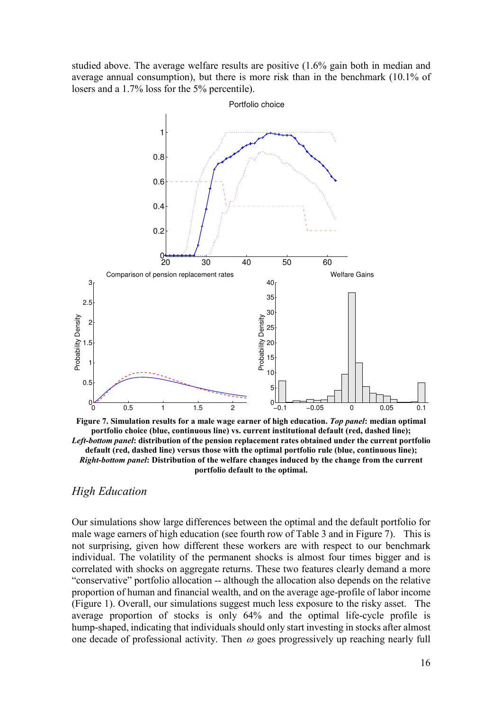studied above. The average welfare results are positive (1.6% gain both in median and average annual consumption), but there is more risk than in the benchmark (10.1% of losers and a 1.7% loss for the 5% percentile).



Figure 7. Simulation results for a male wage earner of high education. Top panel: median optimal portfolio choice (blue, continuous line) vs. current institutional default (red, dashed line); Left-bottom panel: distribution of the pension replacement rates obtained under the current portfolio default (red, dashed line) versus those with the optimal portfolio rule (blue, continuous line); Right-bottom panel: Distribution of the welfare changes induced by the change from the current portfolio default to the optimal.

## High Education

Our simulations show large differences between the optimal and the default portfolio for male wage earners of high education (see fourth row of Table 3 and in Figure 7). This is not surprising, given how different these workers are with respect to our benchmark individual. The volatility of the permanent shocks is almost four times bigger and is correlated with shocks on aggregate returns. These two features clearly demand a more "conservative" portfolio allocation -- although the allocation also depends on the relative proportion of human and financial wealth, and on the average age-profile of labor income (Figure 1). Overall, our simulations suggest much less exposure to the risky asset. The average proportion of stocks is only 64% and the optimal life-cycle profile is hump-shaped, indicating that individuals should only start investing in stocks after almost one decade of professional activity. Then  $\omega$  goes progressively up reaching nearly full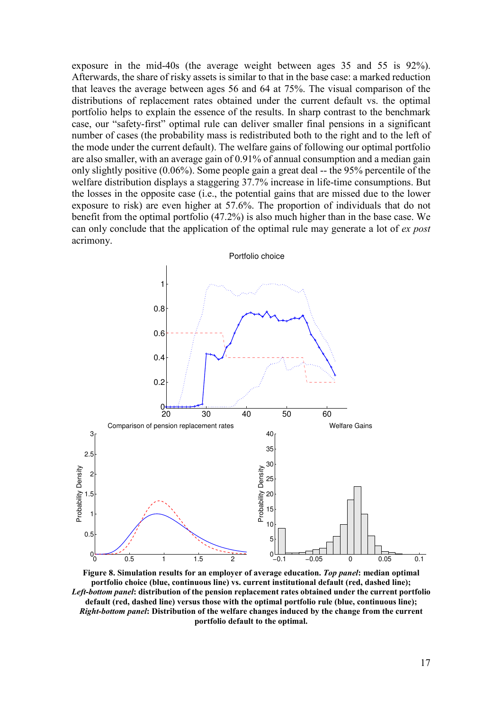exposure in the mid-40s (the average weight between ages 35 and 55 is 92%). Afterwards, the share of risky assets is similar to that in the base case: a marked reduction that leaves the average between ages 56 and 64 at 75%. The visual comparison of the distributions of replacement rates obtained under the current default vs. the optimal portfolio helps to explain the essence of the results. In sharp contrast to the benchmark case, our "safety-first" optimal rule can deliver smaller final pensions in a significant number of cases (the probability mass is redistributed both to the right and to the left of the mode under the current default). The welfare gains of following our optimal portfolio are also smaller, with an average gain of 0.91% of annual consumption and a median gain only slightly positive (0.06%). Some people gain a great deal -- the 95% percentile of the welfare distribution displays a staggering 37.7% increase in life-time consumptions. But the losses in the opposite case (i.e., the potential gains that are missed due to the lower exposure to risk) are even higher at 57.6%. The proportion of individuals that do not benefit from the optimal portfolio (47.2%) is also much higher than in the base case. We can only conclude that the application of the optimal rule may generate a lot of ex post acrimony.



Figure 8. Simulation results for an employer of average education. Top panel: median optimal portfolio choice (blue, continuous line) vs. current institutional default (red, dashed line); Left-bottom panel: distribution of the pension replacement rates obtained under the current portfolio default (red, dashed line) versus those with the optimal portfolio rule (blue, continuous line); Right-bottom panel: Distribution of the welfare changes induced by the change from the current portfolio default to the optimal.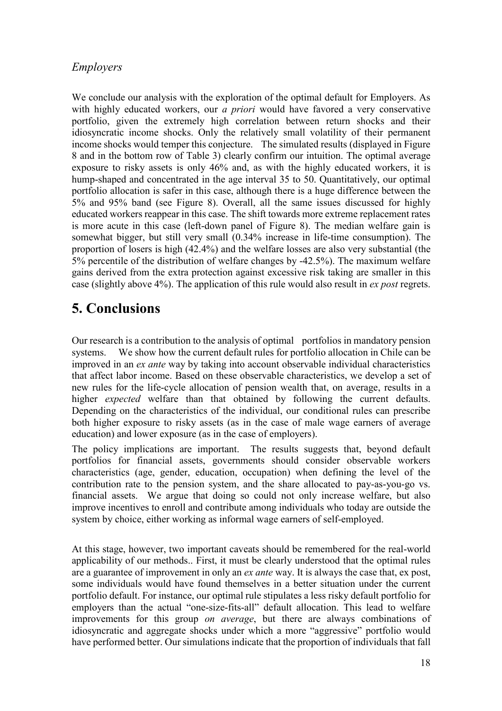# Employers

We conclude our analysis with the exploration of the optimal default for Employers. As with highly educated workers, our a priori would have favored a very conservative portfolio, given the extremely high correlation between return shocks and their idiosyncratic income shocks. Only the relatively small volatility of their permanent income shocks would temper this conjecture. The simulated results (displayed in Figure 8 and in the bottom row of Table 3) clearly confirm our intuition. The optimal average exposure to risky assets is only 46% and, as with the highly educated workers, it is hump-shaped and concentrated in the age interval 35 to 50. Quantitatively, our optimal portfolio allocation is safer in this case, although there is a huge difference between the 5% and 95% band (see Figure 8). Overall, all the same issues discussed for highly educated workers reappear in this case. The shift towards more extreme replacement rates is more acute in this case (left-down panel of Figure 8). The median welfare gain is somewhat bigger, but still very small (0.34% increase in life-time consumption). The proportion of losers is high (42.4%) and the welfare losses are also very substantial (the 5% percentile of the distribution of welfare changes by -42.5%). The maximum welfare gains derived from the extra protection against excessive risk taking are smaller in this case (slightly above 4%). The application of this rule would also result in ex post regrets.

# 5. Conclusions

Our research is a contribution to the analysis of optimal portfolios in mandatory pension systems. We show how the current default rules for portfolio allocation in Chile can be improved in an ex ante way by taking into account observable individual characteristics that affect labor income. Based on these observable characteristics, we develop a set of new rules for the life-cycle allocation of pension wealth that, on average, results in a higher expected welfare than that obtained by following the current defaults. Depending on the characteristics of the individual, our conditional rules can prescribe both higher exposure to risky assets (as in the case of male wage earners of average education) and lower exposure (as in the case of employers).

The policy implications are important. The results suggests that, beyond default portfolios for financial assets, governments should consider observable workers characteristics (age, gender, education, occupation) when defining the level of the contribution rate to the pension system, and the share allocated to pay-as-you-go vs. financial assets. We argue that doing so could not only increase welfare, but also improve incentives to enroll and contribute among individuals who today are outside the system by choice, either working as informal wage earners of self-employed.

At this stage, however, two important caveats should be remembered for the real-world applicability of our methods.. First, it must be clearly understood that the optimal rules are a guarantee of improvement in only an ex ante way. It is always the case that, ex post, some individuals would have found themselves in a better situation under the current portfolio default. For instance, our optimal rule stipulates a less risky default portfolio for employers than the actual "one-size-fits-all" default allocation. This lead to welfare improvements for this group *on average*, but there are always combinations of idiosyncratic and aggregate shocks under which a more "aggressive" portfolio would have performed better. Our simulations indicate that the proportion of individuals that fall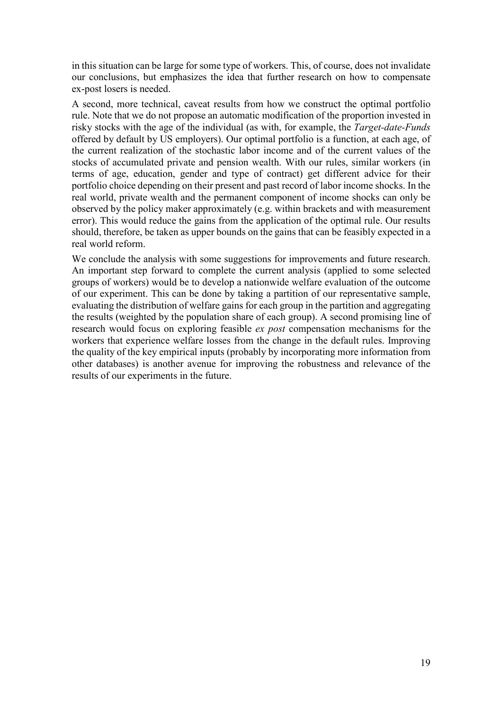in this situation can be large for some type of workers. This, of course, does not invalidate our conclusions, but emphasizes the idea that further research on how to compensate ex-post losers is needed.

A second, more technical, caveat results from how we construct the optimal portfolio rule. Note that we do not propose an automatic modification of the proportion invested in risky stocks with the age of the individual (as with, for example, the Target-date-Funds offered by default by US employers). Our optimal portfolio is a function, at each age, of the current realization of the stochastic labor income and of the current values of the stocks of accumulated private and pension wealth. With our rules, similar workers (in terms of age, education, gender and type of contract) get different advice for their portfolio choice depending on their present and past record of labor income shocks. In the real world, private wealth and the permanent component of income shocks can only be observed by the policy maker approximately (e.g. within brackets and with measurement error). This would reduce the gains from the application of the optimal rule. Our results should, therefore, be taken as upper bounds on the gains that can be feasibly expected in a real world reform.

We conclude the analysis with some suggestions for improvements and future research. An important step forward to complete the current analysis (applied to some selected groups of workers) would be to develop a nationwide welfare evaluation of the outcome of our experiment. This can be done by taking a partition of our representative sample, evaluating the distribution of welfare gains for each group in the partition and aggregating the results (weighted by the population share of each group). A second promising line of research would focus on exploring feasible ex post compensation mechanisms for the workers that experience welfare losses from the change in the default rules. Improving the quality of the key empirical inputs (probably by incorporating more information from other databases) is another avenue for improving the robustness and relevance of the results of our experiments in the future.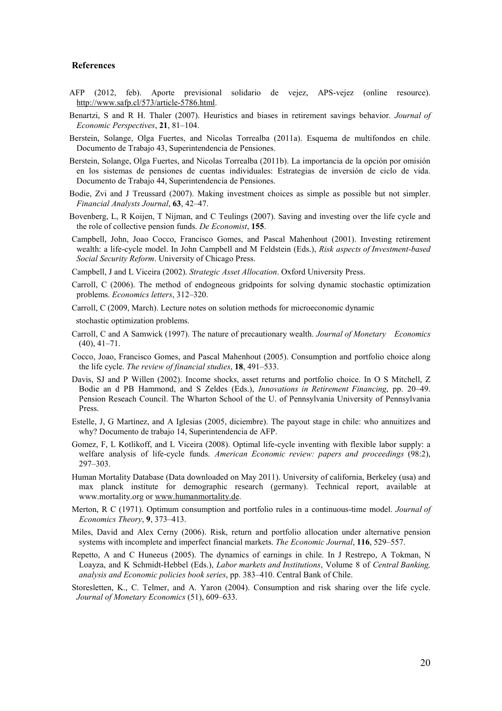#### References

- AFP (2012, feb). Aporte previsional solidario de vejez, APS-vejez (online resource). http://www.safp.cl/573/article-5786.html.
- Benartzi, S and R H. Thaler (2007). Heuristics and biases in retirement savings behavior. Journal of Economic Perspectives, 21, 81–104.
- Berstein, Solange, Olga Fuertes, and Nicolas Torrealba (2011a). Esquema de multifondos en chile. Documento de Trabajo 43, Superintendencia de Pensiones.
- Berstein, Solange, Olga Fuertes, and Nicolas Torrealba (2011b). La importancia de la opción por omisión en los sistemas de pensiones de cuentas individuales: Estrategias de inversión de ciclo de vida. Documento de Trabajo 44, Superintendencia de Pensiones.
- Bodie, Zvi and J Treussard (2007). Making investment choices as simple as possible but not simpler. Financial Analysts Journal, 63, 42–47.
- Bovenberg, L, R Koijen, T Nijman, and C Teulings (2007). Saving and investing over the life cycle and the role of collective pension funds. De Economist, 155.
- Campbell, John, Joao Cocco, Francisco Gomes, and Pascal Mahenhout (2001). Investing retirement wealth: a life-cycle model. In John Campbell and M Feldstein (Eds.), Risk aspects of Investment-based Social Security Reform. University of Chicago Press.
- Campbell, J and L Viceira (2002). Strategic Asset Allocation. Oxford University Press.
- Carroll, C (2006). The method of endogneous gridpoints for solving dynamic stochastic optimization problems. Economics letters, 312–320.
- Carroll, C (2009, March). Lecture notes on solution methods for microeconomic dynamic stochastic optimization problems.
- Carroll, C and A Samwick (1997). The nature of precautionary wealth. Journal of Monetary Economics (40), 41–71.
- Cocco, Joao, Francisco Gomes, and Pascal Mahenhout (2005). Consumption and portfolio choice along the life cycle. The review of financial studies, 18, 491–533.
- Davis, SJ and P Willen (2002). Income shocks, asset returns and portfolio choice. In O S Mitchell, Z Bodie an d PB Hammond, and S Zeldes (Eds.), Innovations in Retirement Financing, pp. 20–49. Pension Reseach Council. The Wharton School of the U. of Pennsylvania University of Pennsylvania Press.
- Estelle, J, G Martínez, and A Iglesias (2005, diciembre). The payout stage in chile: who annuitizes and why? Documento de trabajo 14, Superintendencia de AFP.
- Gomez, F, L Kotlikoff, and L Viceira (2008). Optimal life-cycle inventing with flexible labor supply: a welfare analysis of life-cycle funds. American Economic review: papers and proceedings (98:2), 297–303.
- Human Mortality Database (Data downloaded on May 2011). University of california, Berkeley (usa) and max planck institute for demographic research (germany). Technical report, available at www.mortality.org or www.humanmortality.de.
- Merton, R C (1971). Optimum consumption and portfolio rules in a continuous-time model. Journal of Economics Theory, 9, 373–413.
- Miles, David and Alex Cerny (2006). Risk, return and portfolio allocation under alternative pension systems with incomplete and imperfect financial markets. The Economic Journal, 116, 529–557.
- Repetto, A and C Huneeus (2005). The dynamics of earnings in chile. In J Restrepo, A Tokman, N Loayza, and K Schmidt-Hebbel (Eds.), Labor markets and Institutions, Volume 8 of Central Banking, analysis and Economic policies book series, pp. 383–410. Central Bank of Chile.
- Storesletten, K., C. Telmer, and A. Yaron (2004). Consumption and risk sharing over the life cycle. Journal of Monetary Economics (51), 609–633.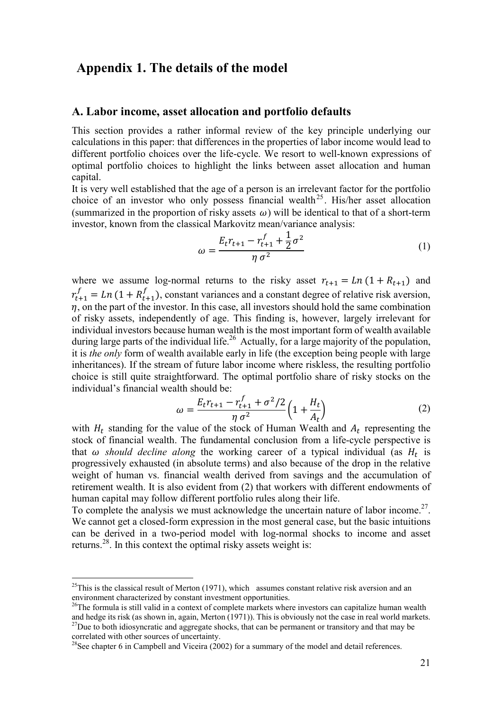# Appendix 1. The details of the model

#### A. Labor income, asset allocation and portfolio defaults

This section provides a rather informal review of the key principle underlying our calculations in this paper: that differences in the properties of labor income would lead to different portfolio choices over the life-cycle. We resort to well-known expressions of optimal portfolio choices to highlight the links between asset allocation and human capital.

It is very well established that the age of a person is an irrelevant factor for the portfolio choice of an investor who only possess financial wealth<sup>25</sup>. His/her asset allocation (summarized in the proportion of risky assets  $\omega$ ) will be identical to that of a short-term investor, known from the classical Markovitz mean/variance analysis:

$$
\omega = \frac{E_t r_{t+1} - r_{t+1}^f + \frac{1}{2}\sigma^2}{\eta \sigma^2}
$$
 (1)

where we assume log-normal returns to the risky asset  $r_{t+1} = Ln (1 + R_{t+1})$  and  $r_{t+1}^f = Ln (1 + R_{t+1}^f)$  $_{t+1}^{f}$ ), constant variances and a constant degree of relative risk aversion,  $\eta$ , on the part of the investor. In this case, all investors should hold the same combination of risky assets, independently of age. This finding is, however, largely irrelevant for individual investors because human wealth is the most important form of wealth available during large parts of the individual life.<sup>26</sup> Actually, for a large majority of the population, it is the only form of wealth available early in life (the exception being people with large inheritances). If the stream of future labor income where riskless, the resulting portfolio choice is still quite straightforward. The optimal portfolio share of risky stocks on the individual's financial wealth should be:

$$
\omega = \frac{E_t r_{t+1} - r_{t+1}^f + \sigma^2 / 2}{\eta \sigma^2} \left( 1 + \frac{H_t}{A_t} \right) \tag{2}
$$

with  $H_t$  standing for the value of the stock of Human Wealth and  $A_t$  representing the stock of financial wealth. The fundamental conclusion from a life-cycle perspective is that  $\omega$  should decline along the working career of a typical individual (as  $H_t$  is progressively exhausted (in absolute terms) and also because of the drop in the relative weight of human vs. financial wealth derived from savings and the accumulation of retirement wealth. It is also evident from (2) that workers with different endowments of human capital may follow different portfolio rules along their life.

To complete the analysis we must acknowledge the uncertain nature of labor income.<sup>27</sup>. We cannot get a closed-form expression in the most general case, but the basic intuitions can be derived in a two-period model with log-normal shocks to income and asset returns.<sup>28</sup>. In this context the optimal risky assets weight is:

 $^{25}$ This is the classical result of Merton (1971), which assumes constant relative risk aversion and an environment characterized by constant investment opportunities.

 $26$ The formula is still valid in a context of complete markets where investors can capitalize human wealth and hedge its risk (as shown in, again, Merton (1971)). This is obviously not the case in real world markets.

 $^{27}$ Due to both idiosyncratic and aggregate shocks, that can be permanent or transitory and that may be correlated with other sources of uncertainty.

<sup>&</sup>lt;sup>28</sup>See chapter 6 in Campbell and Viceira (2002) for a summary of the model and detail references.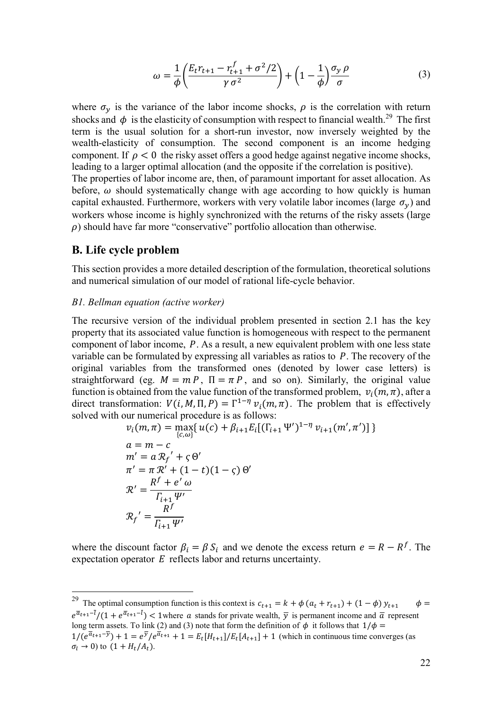$$
\omega = \frac{1}{\phi} \left( \frac{E_t r_{t+1} - r_{t+1}^f + \sigma^2 / 2}{\gamma \sigma^2} \right) + \left( 1 - \frac{1}{\phi} \right) \frac{\sigma_y \rho}{\sigma} \tag{3}
$$

where  $\sigma_v$  is the variance of the labor income shocks,  $\rho$  is the correlation with return shocks and  $\phi$  is the elasticity of consumption with respect to financial wealth.<sup>29</sup> The first term is the usual solution for a short-run investor, now inversely weighted by the wealth-elasticity of consumption. The second component is an income hedging component. If  $\rho < 0$  the risky asset offers a good hedge against negative income shocks, leading to a larger optimal allocation (and the opposite if the correlation is positive). The properties of labor income are, then, of paramount important for asset allocation. As before,  $\omega$  should systematically change with age according to how quickly is human capital exhausted. Furthermore, workers with very volatile labor incomes (large  $\sigma_{v}$ ) and workers whose income is highly synchronized with the returns of the risky assets (large  $\rho$ ) should have far more "conservative" portfolio allocation than otherwise.

#### B. Life cycle problem

 $\overline{a}$ 

This section provides a more detailed description of the formulation, theoretical solutions and numerical simulation of our model of rational life-cycle behavior.

#### B1. Bellman equation (active worker)

The recursive version of the individual problem presented in section 2.1 has the key property that its associated value function is homogeneous with respect to the permanent component of labor income,  $P$ . As a result, a new equivalent problem with one less state variable can be formulated by expressing all variables as ratios to  $P$ . The recovery of the original variables from the transformed ones (denoted by lower case letters) is straightforward (eg.  $M = m P$ ,  $\Pi = \pi P$ , and so on). Similarly, the original value function is obtained from the value function of the transformed problem,  $v_i(m, \pi)$ , after a direct transformation:  $V(i, M, \Pi, P) = \Gamma^{1-\eta} v_i(m, \pi)$ . The problem that is effectively solved with our numerical procedure is as follows:

$$
v_i(m, \pi) = \max_{\{c, \omega\}} \{ u(c) + \beta_{i+1} E_i [(\Gamma_{i+1} \Psi')^{1-\eta} v_{i+1}(m', \pi')] \}
$$
  
\n
$$
a = m - c
$$
  
\n
$$
m' = a R_f' + \zeta \Theta'
$$
  
\n
$$
\pi' = \pi R' + (1 - t)(1 - \zeta) \Theta'
$$
  
\n
$$
R' = \frac{R^f + e^t \omega}{\Gamma_{i+1} \Psi'}
$$
  
\n
$$
R_f' = \frac{R^f}{\Gamma_{i+1} \Psi'}
$$

where the discount factor  $\beta_i = \beta S_i$  and we denote the excess return  $e = R - R^f$ . The expectation operator  $E$  reflects labor and returns uncertainty.

<sup>29</sup> The optimal consumption function is this context is  $c_{t+1} = k + \phi (a_t + r_{t+1}) + (1 - \phi) y_t$  $\phi =$  $e^{a_{t+1}-l}/(1 + e^{a_{t+1}-l})$  < 1where a stands for private wealth,  $\overline{y}$  is permanent income and  $\overline{a}$  represent long term assets. To link (2) and (3) note that form the definition of  $\phi$  it follows that  $1/\phi =$  $1/(e^{a_{t+1}-y}) + 1 = e^y/e^{a_{t+1}} + 1 = E_t[H_{t+1}]/E_t[A_{t+1}] + 1$  (which in continuous time converges (as  $\sigma_l \to 0$ ) to  $(1 + H_t/A_t)$ .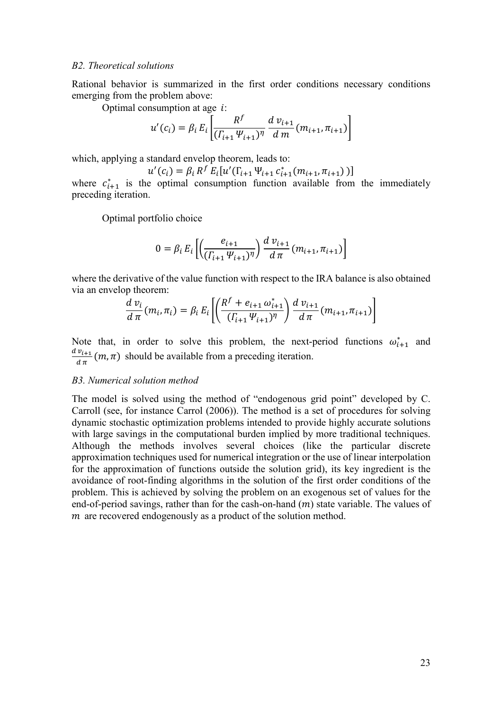#### B2. Theoretical solutions

Rational behavior is summarized in the first order conditions necessary conditions emerging from the problem above:

Optimal consumption at age  $i$ :

$$
u'(c_i) = \beta_i E_i \left[ \frac{R^f}{(\Gamma_{i+1} \Psi_{i+1})^{\eta}} \frac{d v_{i+1}}{d m} (m_{i+1}, \pi_{i+1}) \right]
$$

which, applying a standard envelop theorem, leads to:

 $u'(c_i) = \beta_i R^f E_i[u'(\Gamma_{i+1} \Psi_{i+1} c_{i+1}^*(m_{i+1}, \pi_{i+1}))]$ 

where  $c_{i+1}^*$  is the optimal consumption function available from the immediately preceding iteration.

Optimal portfolio choice

$$
0 = \beta_i E_i \left[ \left( \frac{e_{i+1}}{(T_{i+1} \Psi_{i+1})^{\eta}} \right) \frac{d v_{i+1}}{d \pi} (m_{i+1}, \pi_{i+1}) \right]
$$

where the derivative of the value function with respect to the IRA balance is also obtained via an envelop theorem:

$$
\frac{d v_i}{d \pi}(m_i, \pi_i) = \beta_i E_i \left[ \left( \frac{R^f + e_{i+1} \omega_{i+1}^*}{\left( \Gamma_{i+1} \Psi_{i+1} \right)^{\eta}} \right) \frac{d v_{i+1}}{d \pi}(m_{i+1}, \pi_{i+1}) \right]
$$

Note that, in order to solve this problem, the next-period functions  $\omega_{i+1}^*$  and  $\frac{d v_{i+1}}{d}$  $\frac{\nu_{l+1}}{d\pi}(m,\pi)$  should be available from a preceding iteration.

#### B3. Numerical solution method

The model is solved using the method of "endogenous grid point" developed by C. Carroll (see, for instance Carrol (2006)). The method is a set of procedures for solving dynamic stochastic optimization problems intended to provide highly accurate solutions with large savings in the computational burden implied by more traditional techniques. Although the methods involves several choices (like the particular discrete approximation techniques used for numerical integration or the use of linear interpolation for the approximation of functions outside the solution grid), its key ingredient is the avoidance of root-finding algorithms in the solution of the first order conditions of the problem. This is achieved by solving the problem on an exogenous set of values for the end-of-period savings, rather than for the cash-on-hand  $(m)$  state variable. The values of  *are recovered endogenously as a product of the solution method.*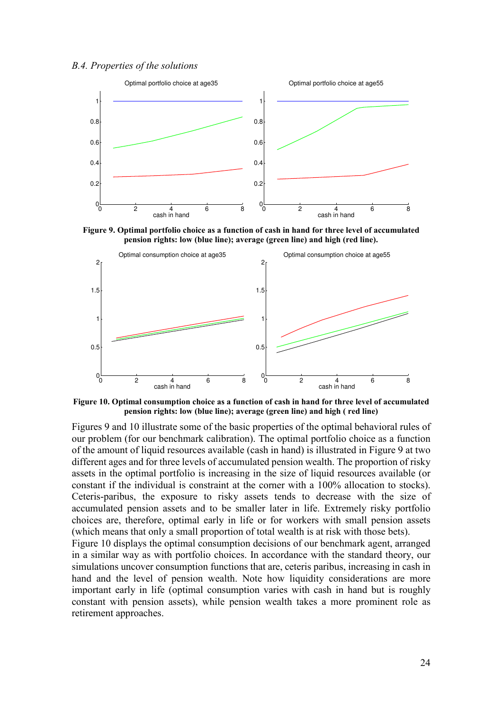



Figure 9. Optimal portfolio choice as a function of cash in hand for three level of accumulated pension rights: low (blue line); average (green line) and high (red line).



Figure 10. Optimal consumption choice as a function of cash in hand for three level of accumulated pension rights: low (blue line); average (green line) and high ( red line)

Figures 9 and 10 illustrate some of the basic properties of the optimal behavioral rules of our problem (for our benchmark calibration). The optimal portfolio choice as a function of the amount of liquid resources available (cash in hand) is illustrated in Figure 9 at two different ages and for three levels of accumulated pension wealth. The proportion of risky assets in the optimal portfolio is increasing in the size of liquid resources available (or constant if the individual is constraint at the corner with a 100% allocation to stocks). Ceteris-paribus, the exposure to risky assets tends to decrease with the size of accumulated pension assets and to be smaller later in life. Extremely risky portfolio choices are, therefore, optimal early in life or for workers with small pension assets (which means that only a small proportion of total wealth is at risk with those bets).

Figure 10 displays the optimal consumption decisions of our benchmark agent, arranged in a similar way as with portfolio choices. In accordance with the standard theory, our simulations uncover consumption functions that are, ceteris paribus, increasing in cash in hand and the level of pension wealth. Note how liquidity considerations are more important early in life (optimal consumption varies with cash in hand but is roughly constant with pension assets), while pension wealth takes a more prominent role as retirement approaches.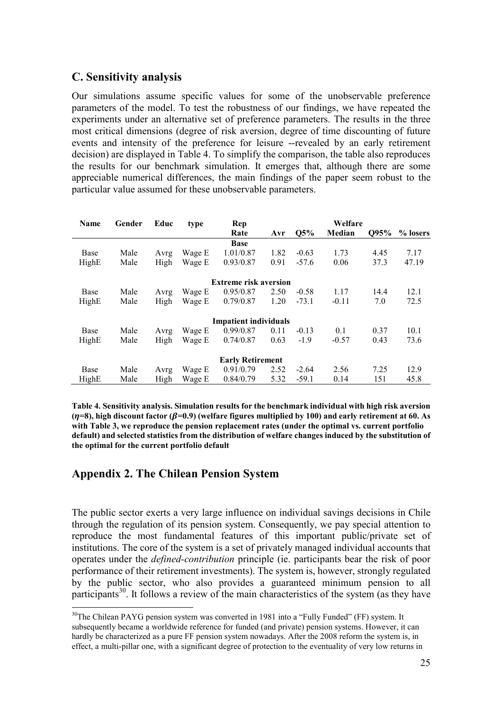# C. Sensitivity analysis

Our simulations assume specific values for some of the unobservable preference parameters of the model. To test the robustness of our findings, we have repeated the experiments under an alternative set of preference parameters. The results in the three most critical dimensions (degree of risk aversion, degree of time discounting of future events and intensity of the preference for leisure --revealed by an early retirement decision) are displayed in Table 4. To simplify the comparison, the table also reproduces the results for our benchmark simulation. It emerges that, although there are some appreciable numerical differences, the main findings of the paper seem robust to the particular value assumed for these unobservable parameters.

| <b>Name</b> | Gender | Educ | type   | Rep                          |      |         | Welfare |      |          |
|-------------|--------|------|--------|------------------------------|------|---------|---------|------|----------|
|             |        |      |        | Rate                         | Avr  | Q5%     | Median  | Q95% | % losers |
|             |        |      |        | <b>Base</b>                  |      |         |         |      |          |
| Base        | Male   | Avrg | Wage E | 1.01/0.87                    | 1.82 | $-0.63$ | 1.73    | 4.45 | 7.17     |
| HighE       | Male   | High | Wage E | 0.93/0.87                    | 0.91 | $-57.6$ | 0.06    | 37.3 | 47.19    |
|             |        |      |        |                              |      |         |         |      |          |
|             |        |      |        | <b>Extreme risk aversion</b> |      |         |         |      |          |
| Base        | Male   | Avrg | Wage E | 0.95/0.87                    | 2.50 | $-0.58$ | 1.17    | 14.4 | 12.1     |
| HighE       | Male   | High | Wage E | 0.79/0.87                    | 1.20 | $-73.1$ | $-0.11$ | 7.0  | 72.5     |
|             |        |      |        |                              |      |         |         |      |          |
|             |        |      |        | <b>Impatient individuals</b> |      |         |         |      |          |
| Base        | Male   | Avrg | Wage E | 0.99/0.87                    | 0.11 | $-0.13$ | 0.1     | 0.37 | 10.1     |
| HighE       | Male   | High | Wage E | 0.74/0.87                    | 0.63 | $-1.9$  | $-0.57$ | 0.43 | 73.6     |
|             |        |      |        |                              |      |         |         |      |          |
|             |        |      |        | <b>Early Retirement</b>      |      |         |         |      |          |
| Base        | Male   | Avrg | Wage E | 0.91/0.79                    | 2.52 | $-2.64$ | 2.56    | 7.25 | 12.9     |
| HighE       | Male   | High | Wage E | 0.84/0.79                    | 5.32 | $-59.1$ | 0.14    | 151  | 45.8     |

Table 4. Sensitivity analysis. Simulation results for the benchmark individual with high risk aversion  $(\eta=8)$ , high discount factor ( $\beta=0.9$ ) (welfare figures multiplied by 100) and early retirement at 60. As with Table 3, we reproduce the pension replacement rates (under the optimal vs. current portfolio default) and selected statistics from the distribution of welfare changes induced by the substitution of the optimal for the current portfolio default

# Appendix 2. The Chilean Pension System

 $\overline{a}$ 

The public sector exerts a very large influence on individual savings decisions in Chile through the regulation of its pension system. Consequently, we pay special attention to reproduce the most fundamental features of this important public/private set of institutions. The core of the system is a set of privately managed individual accounts that operates under the defined-contribution principle (ie. participants bear the risk of poor performance of their retirement investments). The system is, however, strongly regulated by the public sector, who also provides a guaranteed minimum pension to all participants<sup>30</sup>. It follows a review of the main characteristics of the system (as they have

 $30$ The Chilean PAYG pension system was converted in 1981 into a "Fully Funded" (FF) system. It subsequently became a worldwide reference for funded (and private) pension systems. However, it can hardly be characterized as a pure FF pension system nowadays. After the 2008 reform the system is, in effect, a multi-pillar one, with a significant degree of protection to the eventuality of very low returns in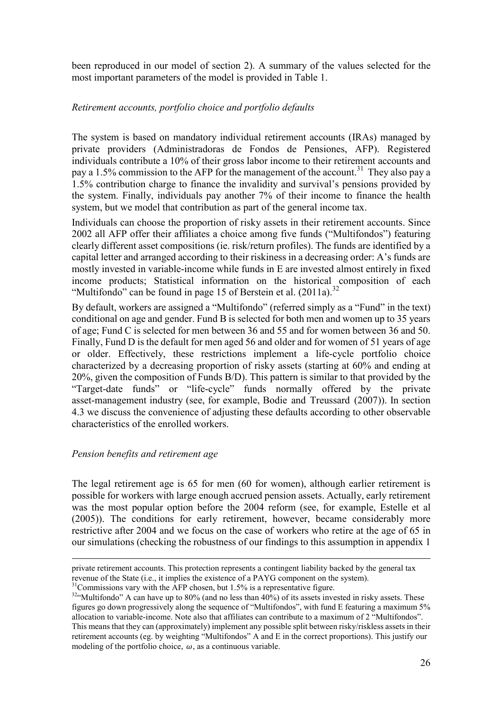been reproduced in our model of section 2). A summary of the values selected for the most important parameters of the model is provided in Table 1.

# Retirement accounts, portfolio choice and portfolio defaults

The system is based on mandatory individual retirement accounts (IRAs) managed by private providers (Administradoras de Fondos de Pensiones, AFP). Registered individuals contribute a 10% of their gross labor income to their retirement accounts and pay a 1.5% commission to the AFP for the management of the account.<sup>31</sup> They also pay a 1.5% contribution charge to finance the invalidity and survival's pensions provided by the system. Finally, individuals pay another 7% of their income to finance the health system, but we model that contribution as part of the general income tax.

Individuals can choose the proportion of risky assets in their retirement accounts. Since 2002 all AFP offer their affiliates a choice among five funds ("Multifondos") featuring clearly different asset compositions (ie. risk/return profiles). The funds are identified by a capital letter and arranged according to their riskiness in a decreasing order: A's funds are mostly invested in variable-income while funds in E are invested almost entirely in fixed income products; Statistical information on the historical composition of each "Multifondo" can be found in page 15 of Berstein et al.  $(2011a)$ .<sup>32</sup>

By default, workers are assigned a "Multifondo" (referred simply as a "Fund" in the text) conditional on age and gender. Fund B is selected for both men and women up to 35 years of age; Fund C is selected for men between 36 and 55 and for women between 36 and 50. Finally, Fund D is the default for men aged 56 and older and for women of 51 years of age or older. Effectively, these restrictions implement a life-cycle portfolio choice characterized by a decreasing proportion of risky assets (starting at 60% and ending at 20%, given the composition of Funds B/D). This pattern is similar to that provided by the "Target-date funds" or "life-cycle" funds normally offered by the private asset-management industry (see, for example, Bodie and Treussard (2007)). In section 4.3 we discuss the convenience of adjusting these defaults according to other observable characteristics of the enrolled workers.

#### Pension benefits and retirement age

<u>.</u>

The legal retirement age is 65 for men (60 for women), although earlier retirement is possible for workers with large enough accrued pension assets. Actually, early retirement was the most popular option before the 2004 reform (see, for example, Estelle et al (2005)). The conditions for early retirement, however, became considerably more restrictive after 2004 and we focus on the case of workers who retire at the age of 65 in our simulations (checking the robustness of our findings to this assumption in appendix 1

private retirement accounts. This protection represents a contingent liability backed by the general tax revenue of the State (i.e., it implies the existence of a PAYG component on the system).

 $31$ Commissions vary with the AFP chosen, but 1.5% is a representative figure.

 $32$ "Multifondo" A can have up to 80% (and no less than 40%) of its assets invested in risky assets. These figures go down progressively along the sequence of "Multifondos", with fund E featuring a maximum 5% allocation to variable-income. Note also that affiliates can contribute to a maximum of 2 "Multifondos". This means that they can (approximately) implement any possible split between risky/riskless assets in their retirement accounts (eg. by weighting "Multifondos" A and E in the correct proportions). This justify our modeling of the portfolio choice,  $\omega$ , as a continuous variable.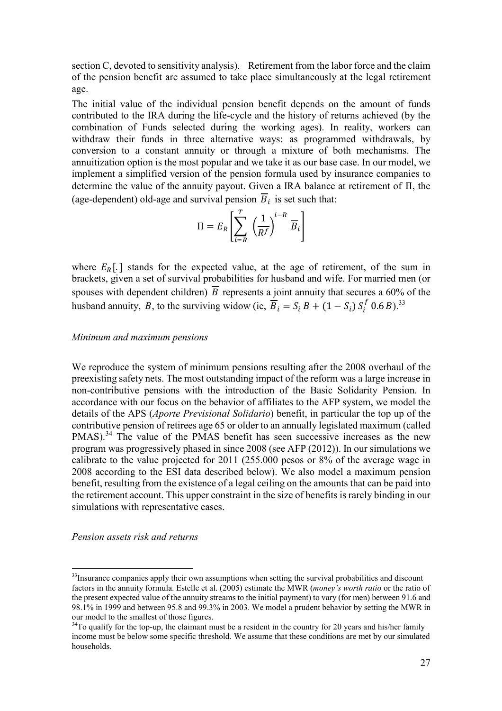section C, devoted to sensitivity analysis). Retirement from the labor force and the claim of the pension benefit are assumed to take place simultaneously at the legal retirement age.

The initial value of the individual pension benefit depends on the amount of funds contributed to the IRA during the life-cycle and the history of returns achieved (by the combination of Funds selected during the working ages). In reality, workers can withdraw their funds in three alternative ways: as programmed withdrawals, by conversion to a constant annuity or through a mixture of both mechanisms. The annuitization option is the most popular and we take it as our base case. In our model, we implement a simplified version of the pension formula used by insurance companies to determine the value of the annuity payout. Given a IRA balance at retirement of Π, the (age-dependent) old-age and survival pension  $B_i$  is set such that:

$$
\Pi = E_R \left[ \sum_{i=R}^T \left( \frac{1}{Rf} \right)^{i-R} \overline{B}_i \right]
$$

where  $E_R$ [.] stands for the expected value, at the age of retirement, of the sum in brackets, given a set of survival probabilities for husband and wife. For married men (or spouses with dependent children)  $\overline{B}$  represents a joint annuity that secures a 60% of the husband annuity, B, to the surviving widow (ie,  $\overline{B}_i = S_i B + (1 - S_i) S_i^f 0.6 B)^{33}$ 

## Minimum and maximum pensions

We reproduce the system of minimum pensions resulting after the 2008 overhaul of the preexisting safety nets. The most outstanding impact of the reform was a large increase in non-contributive pensions with the introduction of the Basic Solidarity Pension. In accordance with our focus on the behavior of affiliates to the AFP system, we model the details of the APS (*Aporte Previsional Solidario*) benefit, in particular the top up of the contributive pension of retirees age 65 or older to an annually legislated maximum (called PMAS).<sup>34</sup> The value of the PMAS benefit has seen successive increases as the new program was progressively phased in since 2008 (see AFP (2012)). In our simulations we calibrate to the value projected for 2011 (255.000 pesos or 8% of the average wage in 2008 according to the ESI data described below). We also model a maximum pension benefit, resulting from the existence of a legal ceiling on the amounts that can be paid into the retirement account. This upper constraint in the size of benefits is rarely binding in our simulations with representative cases.

Pension assets risk and returns

<sup>&</sup>lt;sup>33</sup>Insurance companies apply their own assumptions when setting the survival probabilities and discount factors in the annuity formula. Estelle et al. (2005) estimate the MWR (*money's worth ratio* or the ratio of the present expected value of the annuity streams to the initial payment) to vary (for men) between 91.6 and 98.1% in 1999 and between 95.8 and 99.3% in 2003. We model a prudent behavior by setting the MWR in our model to the smallest of those figures.

 $34$ To qualify for the top-up, the claimant must be a resident in the country for 20 years and his/her family income must be below some specific threshold. We assume that these conditions are met by our simulated households.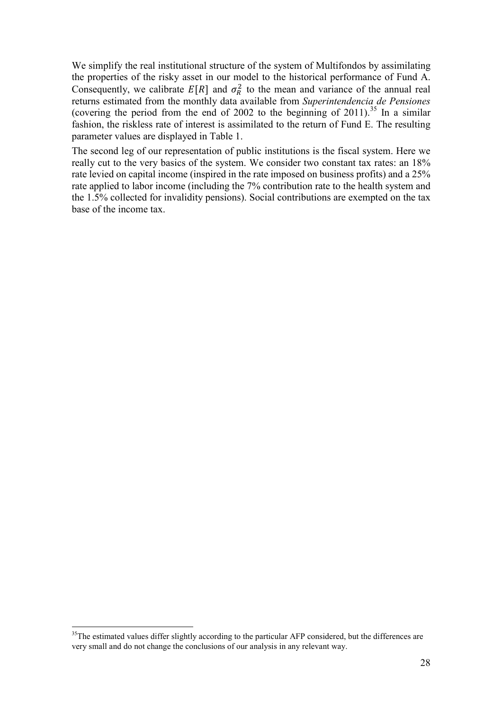We simplify the real institutional structure of the system of Multifondos by assimilating the properties of the risky asset in our model to the historical performance of Fund A. Consequently, we calibrate  $E[R]$  and  $\sigma_R^2$  to the mean and variance of the annual real returns estimated from the monthly data available from Superintendencia de Pensiones (covering the period from the end of 2002 to the beginning of  $2011$ ).<sup>35</sup> In a similar fashion, the riskless rate of interest is assimilated to the return of Fund E. The resulting parameter values are displayed in Table 1.

The second leg of our representation of public institutions is the fiscal system. Here we really cut to the very basics of the system. We consider two constant tax rates: an 18% rate levied on capital income (inspired in the rate imposed on business profits) and a 25% rate applied to labor income (including the 7% contribution rate to the health system and the 1.5% collected for invalidity pensions). Social contributions are exempted on the tax base of the income tax.

<sup>&</sup>lt;sup>35</sup>The estimated values differ slightly according to the particular AFP considered, but the differences are very small and do not change the conclusions of our analysis in any relevant way.